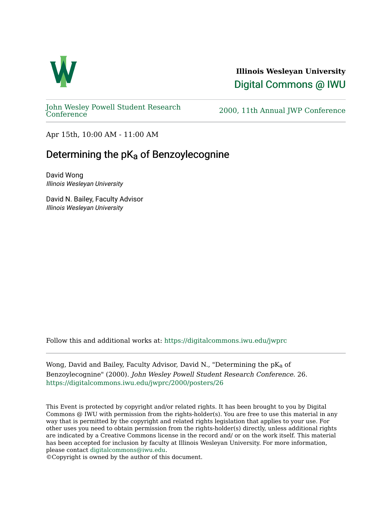

**Illinois Wesleyan University**  [Digital Commons @ IWU](https://digitalcommons.iwu.edu/) 

[John Wesley Powell Student Research](https://digitalcommons.iwu.edu/jwprc) 

2000, 11th Annual JWP [Conference](https://digitalcommons.iwu.edu/jwprc)

Apr 15th, 10:00 AM - 11:00 AM

## Determining the pKa of Benzoylecognine

David Wong Illinois Wesleyan University

David N. Bailey, Faculty Advisor Illinois Wesleyan University

Follow this and additional works at: [https://digitalcommons.iwu.edu/jwprc](https://digitalcommons.iwu.edu/jwprc?utm_source=digitalcommons.iwu.edu%2Fjwprc%2F2000%2Fposters%2F26&utm_medium=PDF&utm_campaign=PDFCoverPages) 

Wong, David and Bailey, Faculty Advisor, David N., "Determining the pKa of Benzoylecognine" (2000). John Wesley Powell Student Research Conference. 26. [https://digitalcommons.iwu.edu/jwprc/2000/posters/26](https://digitalcommons.iwu.edu/jwprc/2000/posters/26?utm_source=digitalcommons.iwu.edu%2Fjwprc%2F2000%2Fposters%2F26&utm_medium=PDF&utm_campaign=PDFCoverPages)

This Event is protected by copyright and/or related rights. It has been brought to you by Digital Commons @ IWU with permission from the rights-holder(s). You are free to use this material in any way that is permitted by the copyright and related rights legislation that applies to your use. For other uses you need to obtain permission from the rights-holder(s) directly, unless additional rights are indicated by a Creative Commons license in the record and/ or on the work itself. This material has been accepted for inclusion by faculty at Illinois Wesleyan University. For more information, please contact [digitalcommons@iwu.edu.](mailto:digitalcommons@iwu.edu)

©Copyright is owned by the author of this document.